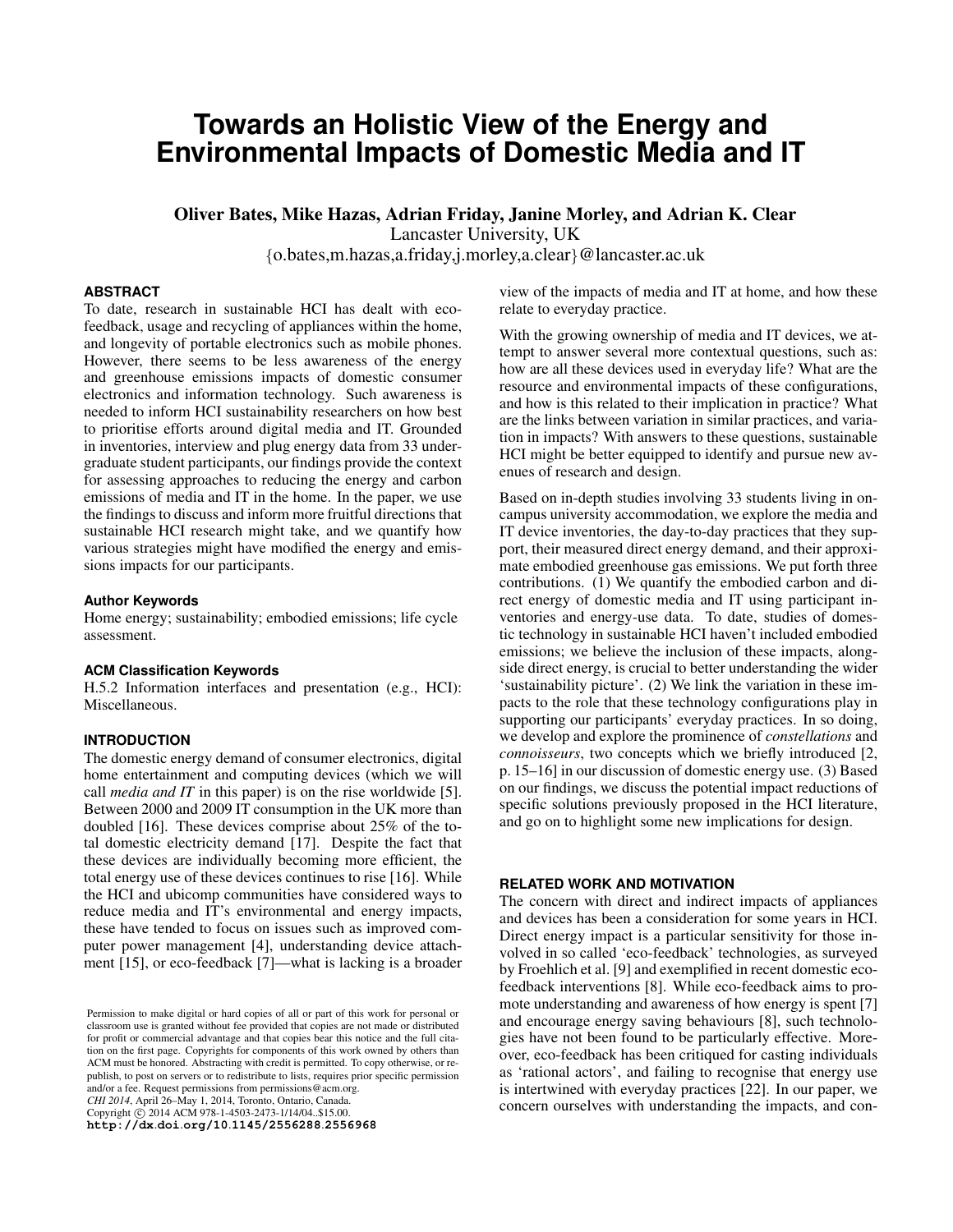# **Towards an Holistic View of the Energy and Environmental Impacts of Domestic Media and IT**

Oliver Bates, Mike Hazas, Adrian Friday, Janine Morley, and Adrian K. Clear Lancaster University, UK

{o.bates,m.hazas,a.friday,j.morley,a.clear}@lancaster.ac.uk

## **ABSTRACT**

To date, research in sustainable HCI has dealt with ecofeedback, usage and recycling of appliances within the home, and longevity of portable electronics such as mobile phones. However, there seems to be less awareness of the energy and greenhouse emissions impacts of domestic consumer electronics and information technology. Such awareness is needed to inform HCI sustainability researchers on how best to prioritise efforts around digital media and IT. Grounded in inventories, interview and plug energy data from 33 undergraduate student participants, our findings provide the context for assessing approaches to reducing the energy and carbon emissions of media and IT in the home. In the paper, we use the findings to discuss and inform more fruitful directions that sustainable HCI research might take, and we quantify how various strategies might have modified the energy and emissions impacts for our participants.

#### **Author Keywords**

Home energy; sustainability; embodied emissions; life cycle assessment.

#### **ACM Classification Keywords**

H.5.2 Information interfaces and presentation (e.g., HCI): Miscellaneous.

#### **INTRODUCTION**

The domestic energy demand of consumer electronics, digital home entertainment and computing devices (which we will call *media and IT* in this paper) is on the rise worldwide [\[5\]](#page-9-0). Between 2000 and 2009 IT consumption in the UK more than doubled [\[16\]](#page-9-1). These devices comprise about 25% of the total domestic electricity demand [\[17\]](#page-9-2). Despite the fact that these devices are individually becoming more efficient, the total energy use of these devices continues to rise [\[16\]](#page-9-1). While the HCI and ubicomp communities have considered ways to reduce media and IT's environmental and energy impacts, these have tended to focus on issues such as improved computer power management [\[4\]](#page-9-3), understanding device attachment [\[15\]](#page-9-4), or eco-feedback [\[7\]](#page-9-5)—what is lacking is a broader

*CHI 2014*, April 26–May 1, 2014, Toronto, Ontario, Canada. Copyright © 2014 ACM 978-1-4503-2473-1/14/04..\$15.00

**http://dx**.**doi**.**org/10**.**[1145/2556288](http://dx.doi.org/10.1145/2556288.2556968)**.**2556968**

view of the impacts of media and IT at home, and how these relate to everyday practice.

With the growing ownership of media and IT devices, we attempt to answer several more contextual questions, such as: how are all these devices used in everyday life? What are the resource and environmental impacts of these configurations, and how is this related to their implication in practice? What are the links between variation in similar practices, and variation in impacts? With answers to these questions, sustainable HCI might be better equipped to identify and pursue new avenues of research and design.

Based on in-depth studies involving 33 students living in oncampus university accommodation, we explore the media and IT device inventories, the day-to-day practices that they support, their measured direct energy demand, and their approximate embodied greenhouse gas emissions. We put forth three contributions. (1) We quantify the embodied carbon and direct energy of domestic media and IT using participant inventories and energy-use data. To date, studies of domestic technology in sustainable HCI haven't included embodied emissions; we believe the inclusion of these impacts, alongside direct energy, is crucial to better understanding the wider 'sustainability picture'. (2) We link the variation in these impacts to the role that these technology configurations play in supporting our participants' everyday practices. In so doing, we develop and explore the prominence of *constellations* and *connoisseurs*, two concepts which we briefly introduced [\[2,](#page-9-6) p. 15–16] in our discussion of domestic energy use. (3) Based on our findings, we discuss the potential impact reductions of specific solutions previously proposed in the HCI literature, and go on to highlight some new implications for design.

## **RELATED WORK AND MOTIVATION**

The concern with direct and indirect impacts of appliances and devices has been a consideration for some years in HCI. Direct energy impact is a particular sensitivity for those involved in so called 'eco-feedback' technologies, as surveyed by Froehlich et al. [\[9\]](#page-9-7) and exemplified in recent domestic ecofeedback interventions [\[8\]](#page-9-8). While eco-feedback aims to promote understanding and awareness of how energy is spent [\[7\]](#page-9-5) and encourage energy saving behaviours [\[8\]](#page-9-8), such technologies have not been found to be particularly effective. Moreover, eco-feedback has been critiqued for casting individuals as 'rational actors', and failing to recognise that energy use is intertwined with everyday practices [\[22\]](#page-9-9). In our paper, we concern ourselves with understanding the impacts, and con-

Permission to make digital or hard copies of all or part of this work for personal or classroom use is granted without fee provided that copies are not made or distributed for profit or commercial advantage and that copies bear this notice and the full citation on the first page. Copyrights for components of this work owned by others than ACM must be honored. Abstracting with credit is permitted. To copy otherwise, or republish, to post on servers or to redistribute to lists, requires prior specific permission and/or a fee. Request permissions from permissions@acm.org.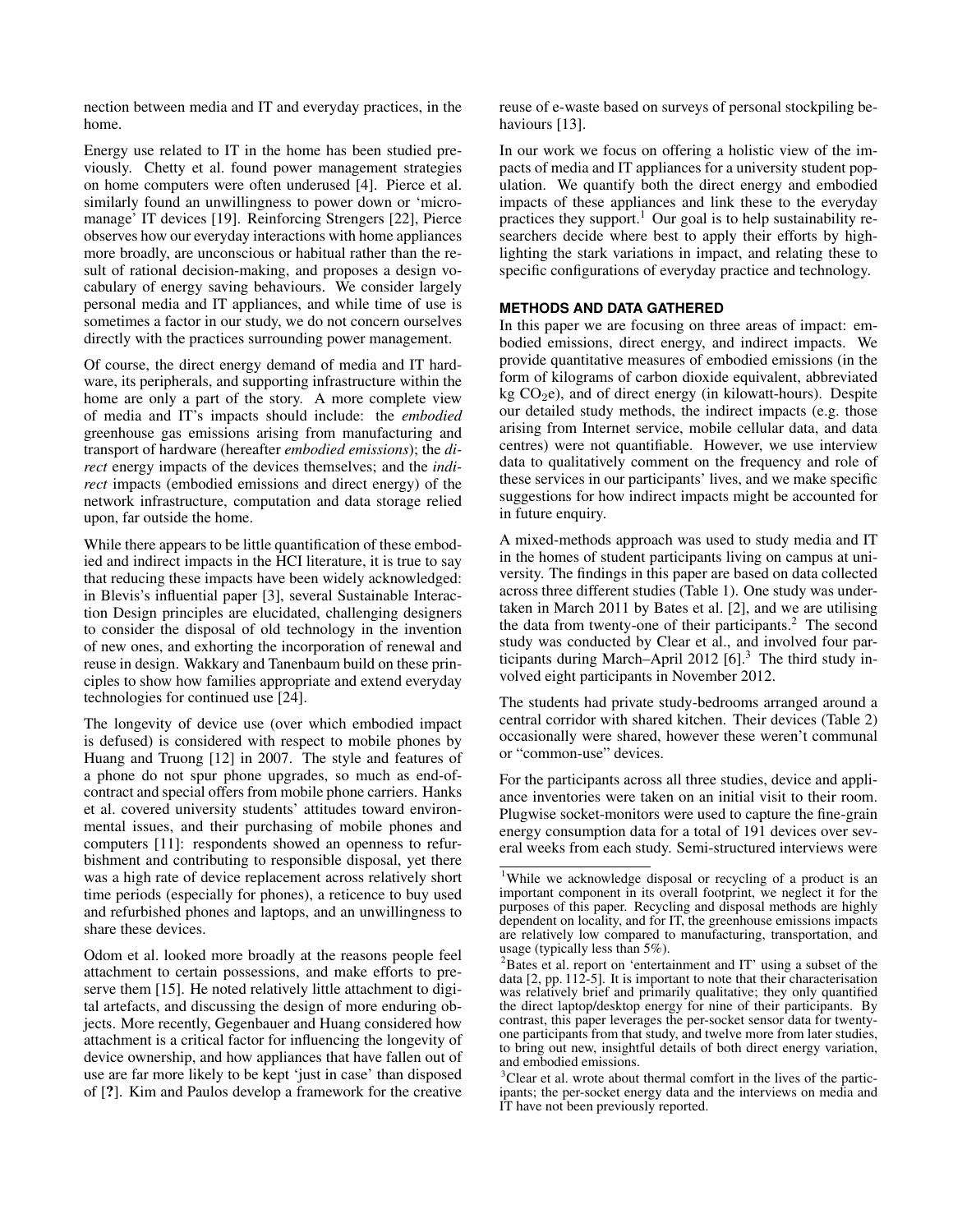nection between media and IT and everyday practices, in the home.

Energy use related to IT in the home has been studied previously. Chetty et al. found power management strategies on home computers were often underused [\[4\]](#page-9-3). Pierce et al. similarly found an unwillingness to power down or 'micromanage' IT devices [\[19\]](#page-9-10). Reinforcing Strengers [\[22\]](#page-9-9), Pierce observes how our everyday interactions with home appliances more broadly, are unconscious or habitual rather than the result of rational decision-making, and proposes a design vocabulary of energy saving behaviours. We consider largely personal media and IT appliances, and while time of use is sometimes a factor in our study, we do not concern ourselves directly with the practices surrounding power management.

Of course, the direct energy demand of media and IT hardware, its peripherals, and supporting infrastructure within the home are only a part of the story. A more complete view of media and IT's impacts should include: the *embodied* greenhouse gas emissions arising from manufacturing and transport of hardware (hereafter *embodied emissions*); the *direct* energy impacts of the devices themselves; and the *indirect* impacts (embodied emissions and direct energy) of the network infrastructure, computation and data storage relied upon, far outside the home.

While there appears to be little quantification of these embodied and indirect impacts in the HCI literature, it is true to say that reducing these impacts have been widely acknowledged: in Blevis's influential paper [\[3\]](#page-9-11), several Sustainable Interaction Design principles are elucidated, challenging designers to consider the disposal of old technology in the invention of new ones, and exhorting the incorporation of renewal and reuse in design. Wakkary and Tanenbaum build on these principles to show how families appropriate and extend everyday technologies for continued use [\[24\]](#page-9-12).

The longevity of device use (over which embodied impact is defused) is considered with respect to mobile phones by Huang and Truong [\[12\]](#page-9-13) in 2007. The style and features of a phone do not spur phone upgrades, so much as end-ofcontract and special offers from mobile phone carriers. Hanks et al. covered university students' attitudes toward environmental issues, and their purchasing of mobile phones and computers [\[11\]](#page-9-14): respondents showed an openness to refurbishment and contributing to responsible disposal, yet there was a high rate of device replacement across relatively short time periods (especially for phones), a reticence to buy used and refurbished phones and laptops, and an unwillingness to share these devices.

Odom et al. looked more broadly at the reasons people feel attachment to certain possessions, and make efforts to preserve them [\[15\]](#page-9-4). He noted relatively little attachment to digital artefacts, and discussing the design of more enduring objects. More recently, Gegenbauer and Huang considered how attachment is a critical factor for influencing the longevity of device ownership, and how appliances that have fallen out of use are far more likely to be kept 'just in case' than disposed of [?]. Kim and Paulos develop a framework for the creative

reuse of e-waste based on surveys of personal stockpiling be-haviours [\[13\]](#page-9-15).

In our work we focus on offering a holistic view of the impacts of media and IT appliances for a university student population. We quantify both the direct energy and embodied impacts of these appliances and link these to the everyday practices they support.<sup>[1](#page-1-0)</sup> Our goal is to help sustainability researchers decide where best to apply their efforts by highlighting the stark variations in impact, and relating these to specific configurations of everyday practice and technology.

## **METHODS AND DATA GATHERED**

In this paper we are focusing on three areas of impact: embodied emissions, direct energy, and indirect impacts. We provide quantitative measures of embodied emissions (in the form of kilograms of carbon dioxide equivalent, abbreviated  $kg CO<sub>2</sub>e$ ), and of direct energy (in kilowatt-hours). Despite our detailed study methods, the indirect impacts (e.g. those arising from Internet service, mobile cellular data, and data centres) were not quantifiable. However, we use interview data to qualitatively comment on the frequency and role of these services in our participants' lives, and we make specific suggestions for how indirect impacts might be accounted for in future enquiry.

A mixed-methods approach was used to study media and IT in the homes of student participants living on campus at university. The findings in this paper are based on data collected across three different studies (Table [1\)](#page-2-0). One study was undertaken in March 2011 by Bates et al. [\[2\]](#page-9-6), and we are utilising the data from twenty-one of their participants.<sup>[2](#page-1-1)</sup> The second study was conducted by Clear et al., and involved four participants during March–April 2012 [\[6\]](#page-9-16).[3](#page-1-2) The third study involved eight participants in November 2012.

The students had private study-bedrooms arranged around a central corridor with shared kitchen. Their devices (Table [2\)](#page-2-1) occasionally were shared, however these weren't communal or "common-use" devices.

For the participants across all three studies, device and appliance inventories were taken on an initial visit to their room. Plugwise socket-monitors were used to capture the fine-grain energy consumption data for a total of 191 devices over several weeks from each study. Semi-structured interviews were

<span id="page-1-0"></span><sup>&</sup>lt;sup>1</sup>While we acknowledge disposal or recycling of a product is an important component in its overall footprint, we neglect it for the purposes of this paper. Recycling and disposal methods are highly dependent on locality, and for IT, the greenhouse emissions impacts are relatively low compared to manufacturing, transportation, and usage (typically less than 5%).

<span id="page-1-1"></span> $2$ Bates et al. report on 'entertainment and IT' using a subset of the data [\[2,](#page-9-6) pp. 112-5]. It is important to note that their characterisation was relatively brief and primarily qualitative; they only quantified the direct laptop/desktop energy for nine of their participants. By contrast, this paper leverages the per-socket sensor data for twentyone participants from that study, and twelve more from later studies, to bring out new, insightful details of both direct energy variation, and embodied emissions.

<span id="page-1-2"></span><sup>&</sup>lt;sup>3</sup>Clear et al. wrote about thermal comfort in the lives of the participants; the per-socket energy data and the interviews on media and IT have not been previously reported.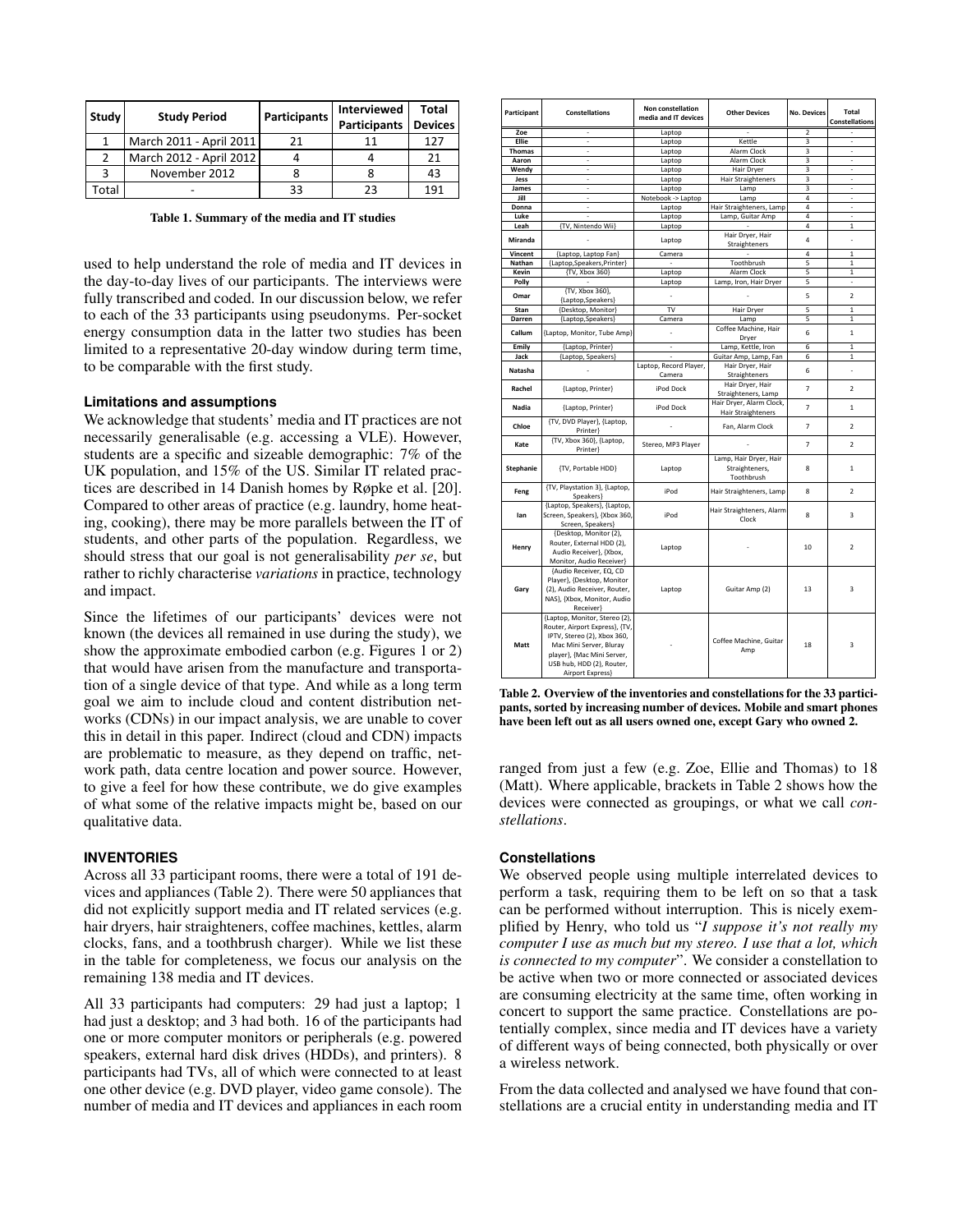| Study         | <b>Study Period</b>     | Participants | Interviewed<br><b>Participants</b> | Total<br><b>Devices</b> |
|---------------|-------------------------|--------------|------------------------------------|-------------------------|
|               | March 2011 - April 2011 | 21           | 11                                 | 127                     |
| $\mathcal{P}$ | March 2012 - April 2012 |              |                                    | 21                      |
| 2             | November 2012           |              |                                    | 43                      |
| otal          |                         | 33           | 23                                 | 191                     |

<span id="page-2-0"></span>Table 1. Summary of the media and IT studies

used to help understand the role of media and IT devices in the day-to-day lives of our participants. The interviews were fully transcribed and coded. In our discussion below, we refer to each of the 33 participants using pseudonyms. Per-socket energy consumption data in the latter two studies has been limited to a representative 20-day window during term time, to be comparable with the first study.

## **Limitations and assumptions**

We acknowledge that students' media and IT practices are not necessarily generalisable (e.g. accessing a VLE). However, students are a specific and sizeable demographic: 7% of the UK population, and 15% of the US. Similar IT related practices are described in 14 Danish homes by Røpke et al. [\[20\]](#page-9-17). Compared to other areas of practice (e.g. laundry, home heating, cooking), there may be more parallels between the IT of students, and other parts of the population. Regardless, we should stress that our goal is not generalisability *per se*, but rather to richly characterise *variations* in practice, technology and impact.

Since the lifetimes of our participants' devices were not known (the devices all remained in use during the study), we show the approximate embodied carbon (e.g. Figures [1](#page-3-0) or [2\)](#page-5-0) that would have arisen from the manufacture and transportation of a single device of that type. And while as a long term goal we aim to include cloud and content distribution networks (CDNs) in our impact analysis, we are unable to cover this in detail in this paper. Indirect (cloud and CDN) impacts are problematic to measure, as they depend on traffic, network path, data centre location and power source. However, to give a feel for how these contribute, we do give examples of what some of the relative impacts might be, based on our qualitative data.

## **INVENTORIES**

Across all 33 participant rooms, there were a total of 191 devices and appliances (Table [2\)](#page-2-1). There were 50 appliances that did not explicitly support media and IT related services (e.g. hair dryers, hair straighteners, coffee machines, kettles, alarm clocks, fans, and a toothbrush charger). While we list these in the table for completeness, we focus our analysis on the remaining 138 media and IT devices.

All 33 participants had computers: 29 had just a laptop; 1 had just a desktop; and 3 had both. 16 of the participants had one or more computer monitors or peripherals (e.g. powered speakers, external hard disk drives (HDDs), and printers). 8 participants had TVs, all of which were connected to at least one other device (e.g. DVD player, video game console). The number of media and IT devices and appliances in each room

| Participant      | <b>Constellations</b>                                                                                                                                                                                    | Non constellation<br>media and IT devices | <b>Other Devices</b>                                   | <b>No. Devices</b>       | Total<br><b>Constellations</b> |
|------------------|----------------------------------------------------------------------------------------------------------------------------------------------------------------------------------------------------------|-------------------------------------------|--------------------------------------------------------|--------------------------|--------------------------------|
| Zoe              |                                                                                                                                                                                                          | Laptop                                    |                                                        | 2                        |                                |
| <b>Ellie</b>     | ä,                                                                                                                                                                                                       | Laptop                                    | Kettle                                                 | 3                        | ÷,                             |
| Thomas           | ÷                                                                                                                                                                                                        | Laptop                                    | Alarm Clock                                            | $\overline{\mathbf{3}}$  | ä,                             |
| Aaron            |                                                                                                                                                                                                          | Laptop                                    | Alarm Clock                                            | 3                        |                                |
| Wendy            | ä,                                                                                                                                                                                                       | Laptop                                    | Hair Dryer                                             | $\overline{\mathbf{3}}$  | ä,                             |
| Jess             | ÷                                                                                                                                                                                                        | Laptop                                    | Hair Straighteners                                     | 3                        | L.                             |
| James            | $\overline{\phantom{a}}$                                                                                                                                                                                 | Laptop                                    | Lamp                                                   | 3                        | $\overline{\phantom{a}}$       |
| Jill             |                                                                                                                                                                                                          | Notebook -> Laptop                        | Lamp                                                   | $\overline{4}$           | í.                             |
| Donna            | ä,                                                                                                                                                                                                       | Laptop                                    | Hair Straighteners, Lamp                               | $\overline{a}$           | ä,                             |
| Luke             | ÷.                                                                                                                                                                                                       | Laptop                                    | Lamp, Guitar Amp                                       | $\overline{4}$           | ÷.                             |
| Leah             | {TV, Nintendo Wii}                                                                                                                                                                                       | Laptop                                    |                                                        | $\overline{4}$           | $\mathbf{1}$                   |
| Miranda          |                                                                                                                                                                                                          | Laptop                                    | Hair Dryer, Hair<br>Straighteners                      | $\overline{4}$           | ä,                             |
| Vincent          | {Laptop, Laptop Fan}                                                                                                                                                                                     | Camera                                    |                                                        | $\overline{4}$           | $\mathbf{1}$                   |
| Nathan           | {Laptop, Speakers, Printer}                                                                                                                                                                              | $\sim$                                    | Toothbrush                                             | 5                        | $\mathbf{1}$                   |
| Kevin            | {TV, Xbox 360}                                                                                                                                                                                           | Laptop                                    | Alarm Clock                                            | $\overline{\phantom{a}}$ | $\mathbf{1}$                   |
| Polly            |                                                                                                                                                                                                          | Laptop                                    | Lamp, Iron, Hair Dryer                                 | 5                        | ٠                              |
| Omar             | {TV, Xbox 360},<br>{Laptop,Speakers}                                                                                                                                                                     |                                           |                                                        | 5                        | 2                              |
| Stan             | {Desktop, Monitor}                                                                                                                                                                                       | TV                                        | Hair Dryer                                             | $\overline{5}$           | $\mathbf{1}$                   |
| Darren           | {Laptop, Speakers}                                                                                                                                                                                       | Camera                                    | Lamp                                                   | 5                        | 1                              |
| Callum           | {Laptop, Monitor, Tube Amp}                                                                                                                                                                              | ä,                                        | Coffee Machine, Hair<br>Dryer                          | 6                        | $\mathbf{1}$                   |
| Emily            | {Laptop, Printer}                                                                                                                                                                                        | ä,                                        | Lamp, Kettle, Iron                                     | 6                        | $\mathbf{1}$                   |
| Jack             | {Laptop, Speakers}                                                                                                                                                                                       | ÷,                                        | Guitar Amp, Lamp, Fan                                  | 6                        | $\mathbf{1}$                   |
|                  |                                                                                                                                                                                                          | Laptop, Record Player,                    | Hair Dryer, Hair                                       |                          |                                |
| Natasha          |                                                                                                                                                                                                          | Camera                                    | Straighteners                                          | 6                        | ä,                             |
| Rachel           | {Laptop, Printer}                                                                                                                                                                                        | iPod Dock                                 | Hair Dryer, Hair<br>Straighteners, Lamp                | $\overline{7}$           | $\overline{2}$                 |
| Nadia            | {Laptop, Printer}                                                                                                                                                                                        | iPod Dock                                 | Hair Dryer, Alarm Clock,<br><b>Hair Straighteners</b>  | $\overline{7}$           | $\mathbf{1}$                   |
| Chloe            | {TV, DVD Player}, {Laptop,<br>Printer}                                                                                                                                                                   |                                           | Fan, Alarm Clock                                       | 7                        | $\overline{2}$                 |
| Kate             | {TV, Xbox 360}, {Laptop,<br>Printer}                                                                                                                                                                     | Stereo, MP3 Player                        |                                                        | $\overline{7}$           | $\overline{2}$                 |
| <b>Stephanie</b> | {TV, Portable HDD}                                                                                                                                                                                       | Laptop                                    | Lamp, Hair Dryer, Hair<br>Straighteners,<br>Toothbrush | 8                        | $\mathbf{1}$                   |
| Feng             | {TV, Playstation 3}, {Laptop,<br>Speakers}                                                                                                                                                               | iPod                                      | Hair Straighteners, Lamp                               | 8                        | $\overline{2}$                 |
| lan              | {Laptop, Speakers}, {Laptop,<br>Screen, Speakers}, {Xbox 360,<br>Screen, Speakers}                                                                                                                       | iPod                                      | Hair Straighteners, Alarm<br>Clock                     | 8                        | 3                              |
| Henry            | {Desktop, Monitor (2),<br>Router, External HDD (2),<br>Audio Receiver}, {Xbox,<br>Monitor, Audio Receiver}                                                                                               | Laptop                                    |                                                        | 10                       | $\overline{2}$                 |
| Gary             | {Audio Receiver, EQ, CD<br>Player}, {Desktop, Monitor<br>(2), Audio Receiver, Router,<br>NAS}, {Xbox, Monitor, Audio<br>Receiver}                                                                        | Laptop                                    | Guitar Amp (2)                                         | 13                       | 3                              |
| Matt             | {Laptop, Monitor, Stereo (2),<br>Router, Airport Express}, {TV,<br>IPTV, Stereo (2), Xbox 360,<br>Mac Mini Server, Bluray<br>player}, {Mac Mini Server,<br>USB hub, HDD (2), Router,<br>Airport Express} |                                           | Coffee Machine, Guitar<br>Amp                          | 18                       | 3                              |

<span id="page-2-1"></span>Table 2. Overview of the inventories and constellations for the 33 participants, sorted by increasing number of devices. Mobile and smart phones have been left out as all users owned one, except Gary who owned 2.

ranged from just a few (e.g. Zoe, Ellie and Thomas) to 18 (Matt). Where applicable, brackets in Table [2](#page-2-1) shows how the devices were connected as groupings, or what we call *constellations*.

#### **Constellations**

We observed people using multiple interrelated devices to perform a task, requiring them to be left on so that a task can be performed without interruption. This is nicely exemplified by Henry, who told us "*I suppose it's not really my computer I use as much but my stereo. I use that a lot, which is connected to my computer*". We consider a constellation to be active when two or more connected or associated devices are consuming electricity at the same time, often working in concert to support the same practice. Constellations are potentially complex, since media and IT devices have a variety of different ways of being connected, both physically or over a wireless network.

From the data collected and analysed we have found that constellations are a crucial entity in understanding media and IT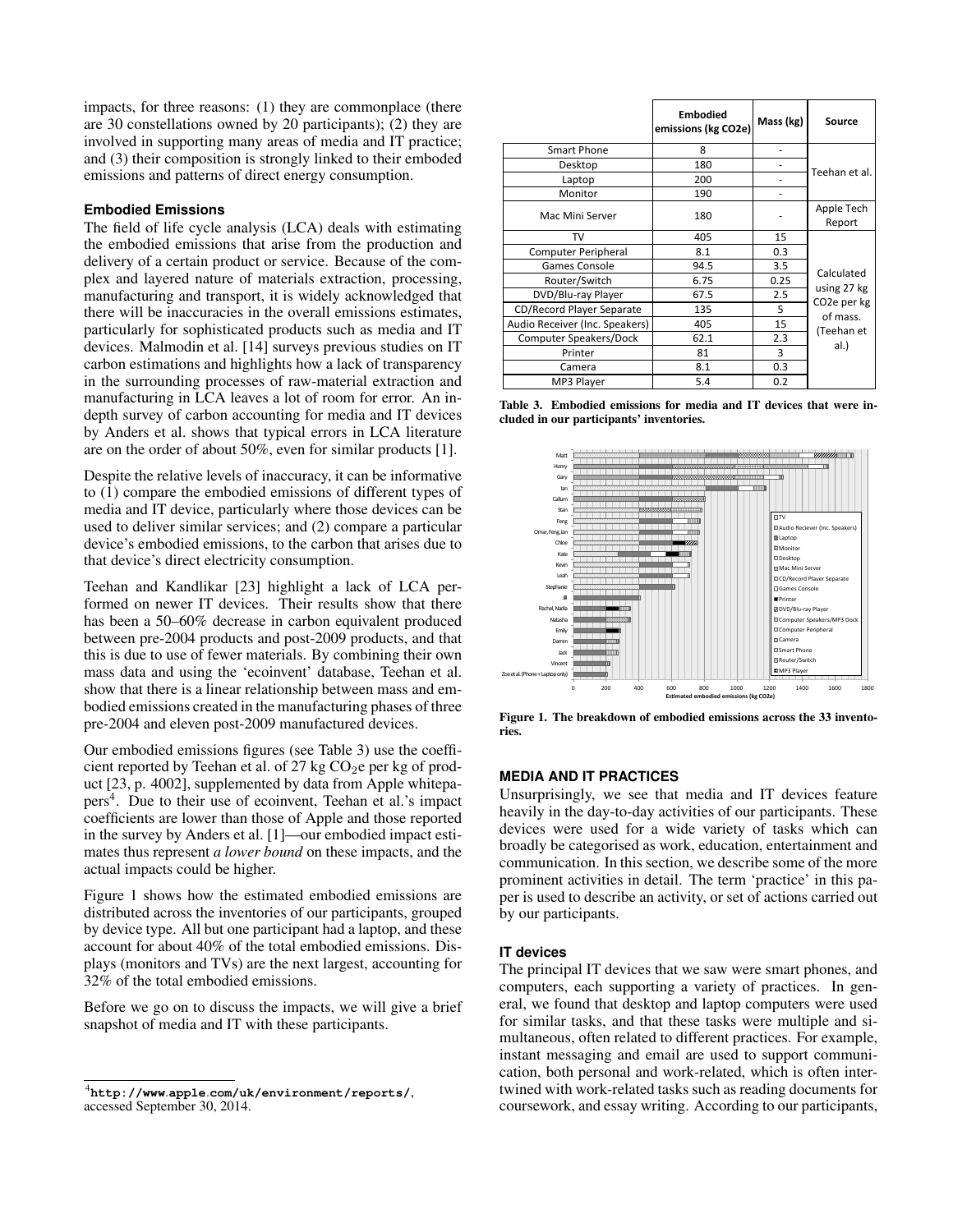impacts, for three reasons: (1) they are commonplace (there are 30 constellations owned by 20 participants); (2) they are involved in supporting many areas of media and IT practice; and (3) their composition is strongly linked to their emboded emissions and patterns of direct energy consumption.

## **Embodied Emissions**

The field of life cycle analysis (LCA) deals with estimating the embodied emissions that arise from the production and delivery of a certain product or service. Because of the complex and layered nature of materials extraction, processing, manufacturing and transport, it is widely acknowledged that there will be inaccuracies in the overall emissions estimates, particularly for sophisticated products such as media and IT devices. Malmodin et al. [\[14\]](#page-9-18) surveys previous studies on IT carbon estimations and highlights how a lack of transparency in the surrounding processes of raw-material extraction and manufacturing in LCA leaves a lot of room for error. An indepth survey of carbon accounting for media and IT devices by Anders et al. shows that typical errors in LCA literature are on the order of about 50%, even for similar products [\[1\]](#page-9-19).

Despite the relative levels of inaccuracy, it can be informative to (1) compare the embodied emissions of different types of media and IT device, particularly where those devices can be used to deliver similar services; and (2) compare a particular device's embodied emissions, to the carbon that arises due to that device's direct electricity consumption.

Teehan and Kandlikar [\[23\]](#page-9-20) highlight a lack of LCA performed on newer IT devices. Their results show that there has been a 50–60% decrease in carbon equivalent produced between pre-2004 products and post-2009 products, and that this is due to use of fewer materials. By combining their own mass data and using the 'ecoinvent' database, Teehan et al. show that there is a linear relationship between mass and embodied emissions created in the manufacturing phases of three pre-2004 and eleven post-2009 manufactured devices.

Our embodied emissions figures (see Table [3\)](#page-3-1) use the coefficient reported by Teehan et al. of 27 kg  $CO<sub>2</sub>e$  per kg of product [\[23,](#page-9-20) p. 4002], supplemented by data from Apple whitepa-pers<sup>[4](#page-3-2)</sup>. Due to their use of ecoinvent, Teehan et al.'s impact coefficients are lower than those of Apple and those reported in the survey by Anders et al. [\[1\]](#page-9-19)—our embodied impact estimates thus represent *a lower bound* on these impacts, and the actual impacts could be higher.

Figure [1](#page-3-0) shows how the estimated embodied emissions are distributed across the inventories of our participants, grouped by device type. All but one participant had a laptop, and these account for about 40% of the total embodied emissions. Displays (monitors and TVs) are the next largest, accounting for 32% of the total embodied emissions.

Before we go on to discuss the impacts, we will give a brief snapshot of media and IT with these participants.

|                                | <b>Embodied</b><br>emissions (kg CO2e) | Mass (kg) | <b>Source</b>                                              |  |
|--------------------------------|----------------------------------------|-----------|------------------------------------------------------------|--|
| Smart Phone                    | 8                                      |           | Teehan et al.                                              |  |
| Desktop                        | 180                                    |           |                                                            |  |
| Laptop                         | 200                                    |           |                                                            |  |
| Monitor                        | 190                                    |           |                                                            |  |
| Mac Mini Server                | 180                                    |           | Apple Tech<br>Report                                       |  |
| TV                             | 405                                    | 15        |                                                            |  |
| Computer Peripheral            | 8.1                                    | 0.3       |                                                            |  |
| Games Console                  | 94.5                                   | 3.5       | Calculated                                                 |  |
| Router/Switch                  | 6.75                                   | 0.25      |                                                            |  |
| DVD/Blu-ray Player             | 67.5                                   | 2.5       | using 27 kg                                                |  |
| CD/Record Player Separate      | 135                                    | 5         | CO <sub>2</sub> e per kg<br>of mass.<br>(Teehan et<br>al.) |  |
| Audio Receiver (Inc. Speakers) | 405                                    | 15        |                                                            |  |
| Computer Speakers/Dock         | 62.1                                   | 2.3       |                                                            |  |
| Printer                        | 81                                     | 3         |                                                            |  |
| Camera                         | 8.1                                    | 0.3       |                                                            |  |
| MP3 Player                     | 5.4                                    | 0.2       |                                                            |  |

<span id="page-3-1"></span>Table 3. Embodied emissions for media and IT devices that were included in our participants' inventories.



<span id="page-3-0"></span>Figure 1. The breakdown of embodied emissions across the 33 inventories.

# **MEDIA AND IT PRACTICES**

Unsurprisingly, we see that media and IT devices feature heavily in the day-to-day activities of our participants. These devices were used for a wide variety of tasks which can broadly be categorised as work, education, entertainment and communication. In this section, we describe some of the more prominent activities in detail. The term 'practice' in this paper is used to describe an activity, or set of actions carried out by our participants.

#### **IT devices**

The principal IT devices that we saw were smart phones, and computers, each supporting a variety of practices. In general, we found that desktop and laptop computers were used for similar tasks, and that these tasks were multiple and simultaneous, often related to different practices. For example, instant messaging and email are used to support communication, both personal and work-related, which is often intertwined with work-related tasks such as reading documents for coursework, and essay writing. According to our participants,

<span id="page-3-2"></span><sup>4</sup> **http://www**.**apple**.**[com/uk/environment/reports/](http://www.apple.com/uk/environment/reports/)**, accessed September 30, 2014.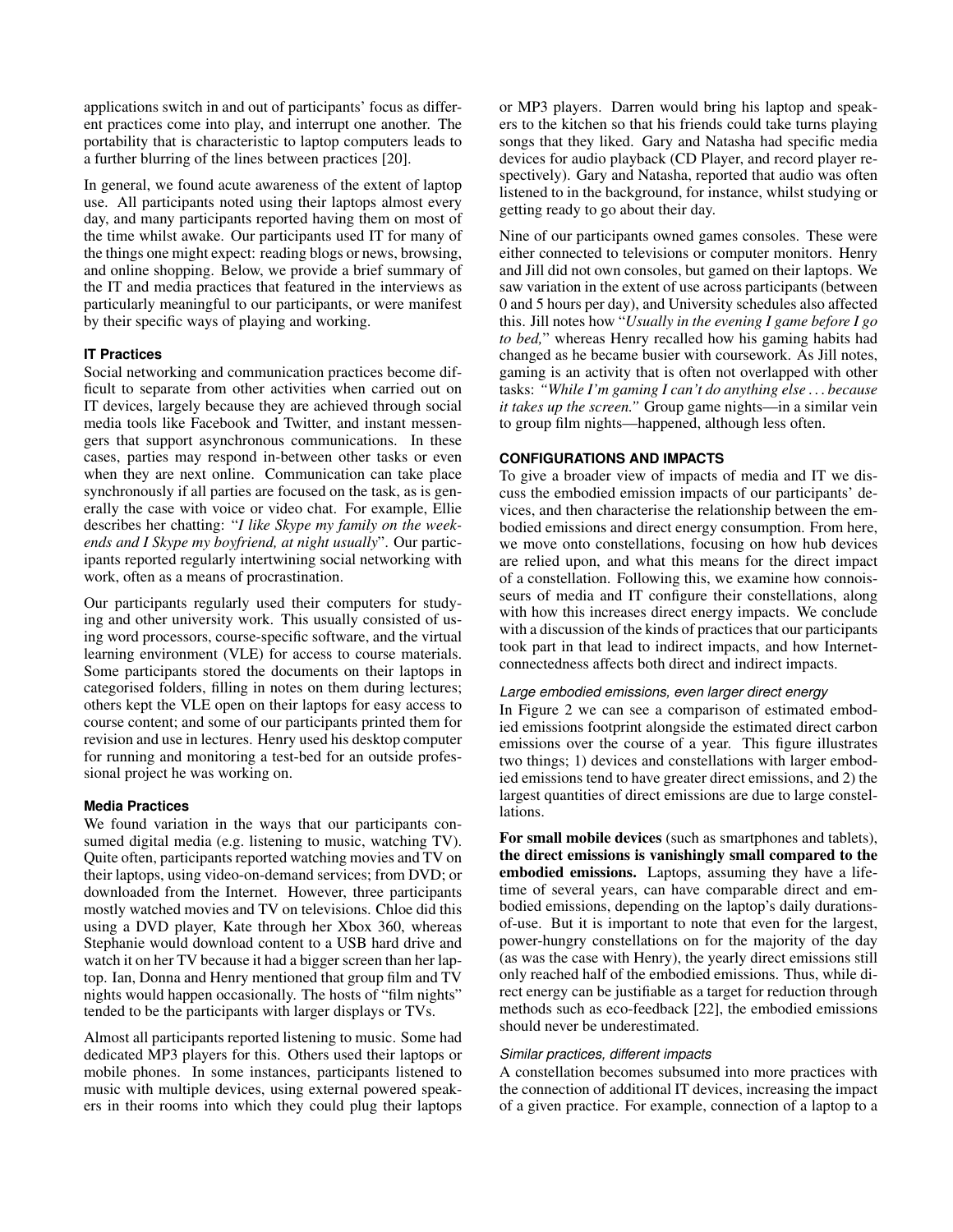applications switch in and out of participants' focus as different practices come into play, and interrupt one another. The portability that is characteristic to laptop computers leads to a further blurring of the lines between practices [\[20\]](#page-9-17).

In general, we found acute awareness of the extent of laptop use. All participants noted using their laptops almost every day, and many participants reported having them on most of the time whilst awake. Our participants used IT for many of the things one might expect: reading blogs or news, browsing, and online shopping. Below, we provide a brief summary of the IT and media practices that featured in the interviews as particularly meaningful to our participants, or were manifest by their specific ways of playing and working.

# **IT Practices**

Social networking and communication practices become difficult to separate from other activities when carried out on IT devices, largely because they are achieved through social media tools like Facebook and Twitter, and instant messengers that support asynchronous communications. In these cases, parties may respond in-between other tasks or even when they are next online. Communication can take place synchronously if all parties are focused on the task, as is generally the case with voice or video chat. For example, Ellie describes her chatting: "*I like Skype my family on the weekends and I Skype my boyfriend, at night usually*". Our participants reported regularly intertwining social networking with work, often as a means of procrastination.

Our participants regularly used their computers for studying and other university work. This usually consisted of using word processors, course-specific software, and the virtual learning environment (VLE) for access to course materials. Some participants stored the documents on their laptops in categorised folders, filling in notes on them during lectures; others kept the VLE open on their laptops for easy access to course content; and some of our participants printed them for revision and use in lectures. Henry used his desktop computer for running and monitoring a test-bed for an outside professional project he was working on.

# **Media Practices**

We found variation in the ways that our participants consumed digital media (e.g. listening to music, watching TV). Quite often, participants reported watching movies and TV on their laptops, using video-on-demand services; from DVD; or downloaded from the Internet. However, three participants mostly watched movies and TV on televisions. Chloe did this using a DVD player, Kate through her Xbox 360, whereas Stephanie would download content to a USB hard drive and watch it on her TV because it had a bigger screen than her laptop. Ian, Donna and Henry mentioned that group film and TV nights would happen occasionally. The hosts of "film nights" tended to be the participants with larger displays or TVs.

Almost all participants reported listening to music. Some had dedicated MP3 players for this. Others used their laptops or mobile phones. In some instances, participants listened to music with multiple devices, using external powered speakers in their rooms into which they could plug their laptops or MP3 players. Darren would bring his laptop and speakers to the kitchen so that his friends could take turns playing songs that they liked. Gary and Natasha had specific media devices for audio playback (CD Player, and record player respectively). Gary and Natasha, reported that audio was often listened to in the background, for instance, whilst studying or getting ready to go about their day.

Nine of our participants owned games consoles. These were either connected to televisions or computer monitors. Henry and Jill did not own consoles, but gamed on their laptops. We saw variation in the extent of use across participants (between 0 and 5 hours per day), and University schedules also affected this. Jill notes how "*Usually in the evening I game before I go to bed,*" whereas Henry recalled how his gaming habits had changed as he became busier with coursework. As Jill notes, gaming is an activity that is often not overlapped with other tasks: *"While I'm gaming I can't do anything else . . . because it takes up the screen."* Group game nights—in a similar vein to group film nights—happened, although less often.

# **CONFIGURATIONS AND IMPACTS**

To give a broader view of impacts of media and IT we discuss the embodied emission impacts of our participants' devices, and then characterise the relationship between the embodied emissions and direct energy consumption. From here, we move onto constellations, focusing on how hub devices are relied upon, and what this means for the direct impact of a constellation. Following this, we examine how connoisseurs of media and IT configure their constellations, along with how this increases direct energy impacts. We conclude with a discussion of the kinds of practices that our participants took part in that lead to indirect impacts, and how Internetconnectedness affects both direct and indirect impacts.

# *Large embodied emissions, even larger direct energy*

In Figure [2](#page-5-0) we can see a comparison of estimated embodied emissions footprint alongside the estimated direct carbon emissions over the course of a year. This figure illustrates two things; 1) devices and constellations with larger embodied emissions tend to have greater direct emissions, and 2) the largest quantities of direct emissions are due to large constellations.

For small mobile devices (such as smartphones and tablets), the direct emissions is vanishingly small compared to the embodied emissions. Laptops, assuming they have a lifetime of several years, can have comparable direct and embodied emissions, depending on the laptop's daily durationsof-use. But it is important to note that even for the largest, power-hungry constellations on for the majority of the day (as was the case with Henry), the yearly direct emissions still only reached half of the embodied emissions. Thus, while direct energy can be justifiable as a target for reduction through methods such as eco-feedback [\[22\]](#page-9-9), the embodied emissions should never be underestimated.

# *Similar practices, different impacts*

A constellation becomes subsumed into more practices with the connection of additional IT devices, increasing the impact of a given practice. For example, connection of a laptop to a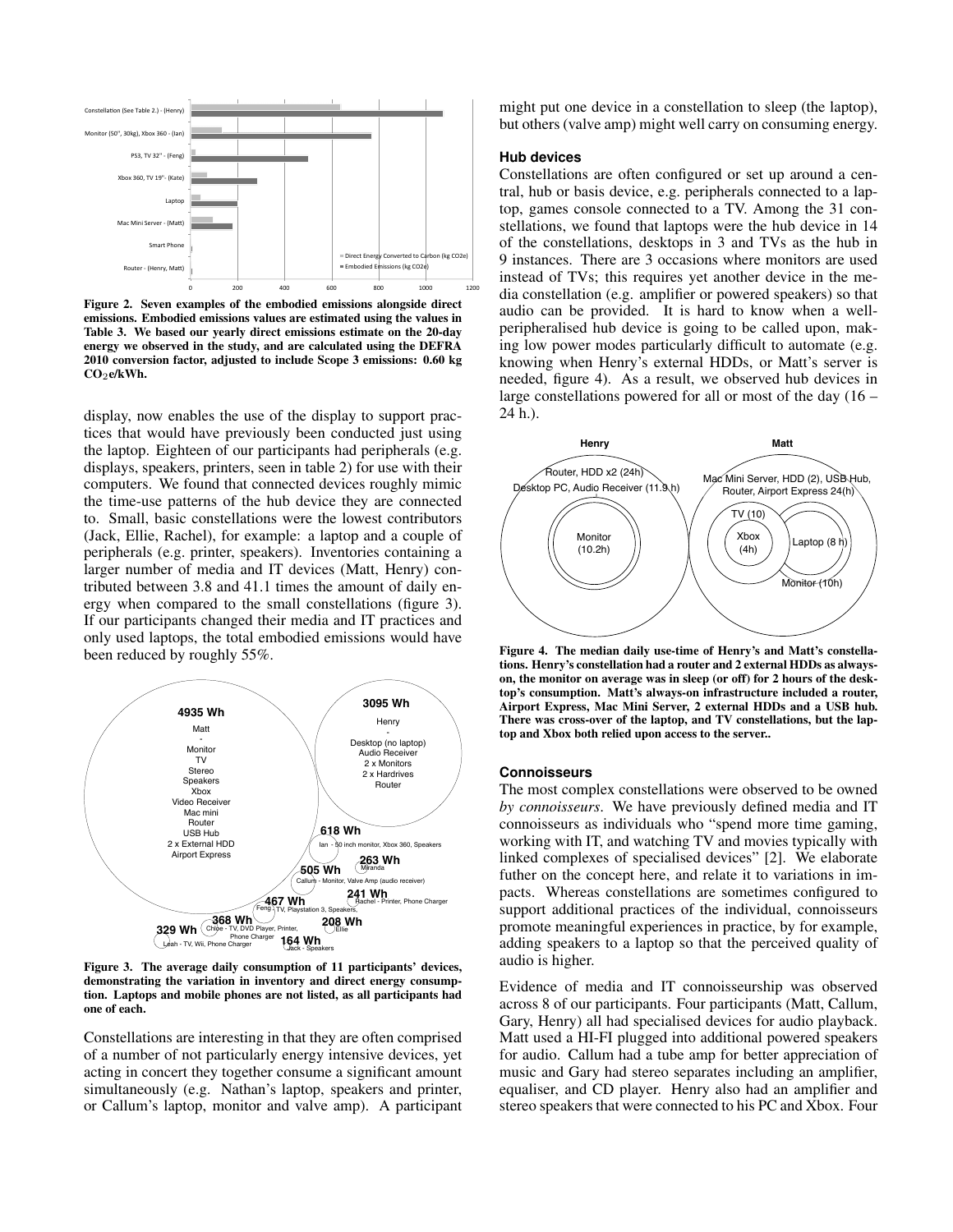

<span id="page-5-0"></span>Figure 2. Seven examples of the embodied emissions alongside direct emissions. Embodied emissions values are estimated using the values in Table [3.](#page-3-1) We based our yearly direct emissions estimate on the 20-day energy we observed in the study, and are calculated using the DEFRA 2010 conversion factor, adjusted to include Scope 3 emissions: 0.60 kg CO<sub>2</sub>e/kWh.

display, now enables the use of the display to support practices that would have previously been conducted just using the laptop. Eighteen of our participants had peripherals (e.g. displays, speakers, printers, seen in table [2\)](#page-2-1) for use with their computers. We found that connected devices roughly mimic the time-use patterns of the hub device they are connected to. Small, basic constellations were the lowest contributors (Jack, Ellie, Rachel), for example: a laptop and a couple of peripherals (e.g. printer, speakers). Inventories containing a larger number of media and IT devices (Matt, Henry) contributed between 3.8 and 41.1 times the amount of daily energy when compared to the small constellations (figure [3\)](#page-5-1). If our participants changed their media and IT practices and only used laptops, the total embodied emissions would have been reduced by roughly 55%.



<span id="page-5-1"></span>Figure 3. The average daily consumption of 11 participants' devices, demonstrating the variation in inventory and direct energy consumption. Laptops and mobile phones are not listed, as all participants had one of each.

Constellations are interesting in that they are often comprised of a number of not particularly energy intensive devices, yet acting in concert they together consume a significant amount simultaneously (e.g. Nathan's laptop, speakers and printer, or Callum's laptop, monitor and valve amp). A participant might put one device in a constellation to sleep (the laptop), but others (valve amp) might well carry on consuming energy.

#### **Hub devices**

Constellations are often configured or set up around a central, hub or basis device, e.g. peripherals connected to a laptop, games console connected to a TV. Among the 31 constellations, we found that laptops were the hub device in 14 of the constellations, desktops in 3 and TVs as the hub in 9 instances. There are 3 occasions where monitors are used instead of TVs; this requires yet another device in the media constellation (e.g. amplifier or powered speakers) so that audio can be provided. It is hard to know when a wellperipheralised hub device is going to be called upon, making low power modes particularly difficult to automate (e.g. knowing when Henry's external HDDs, or Matt's server is needed, figure [4\)](#page-5-2). As a result, we observed hub devices in large constellations powered for all or most of the day (16 – 24 h.).



<span id="page-5-2"></span>Figure 4. The median daily use-time of Henry's and Matt's constellations. Henry's constellation had a router and 2 external HDDs as alwayson, the monitor on average was in sleep (or off) for 2 hours of the desktop's consumption. Matt's always-on infrastructure included a router, Airport Express, Mac Mini Server, 2 external HDDs and a USB hub. There was cross-over of the laptop, and TV constellations, but the laptop and Xbox both relied upon access to the server..

## **Connoisseurs**

The most complex constellations were observed to be owned *by connoisseurs*. We have previously defined media and IT connoisseurs as individuals who "spend more time gaming, working with IT, and watching TV and movies typically with linked complexes of specialised devices" [\[2\]](#page-9-6). We elaborate futher on the concept here, and relate it to variations in impacts. Whereas constellations are sometimes configured to support additional practices of the individual, connoisseurs promote meaningful experiences in practice, by for example, adding speakers to a laptop so that the perceived quality of audio is higher.

Evidence of media and IT connoisseurship was observed across 8 of our participants. Four participants (Matt, Callum, Gary, Henry) all had specialised devices for audio playback. Matt used a HI-FI plugged into additional powered speakers for audio. Callum had a tube amp for better appreciation of music and Gary had stereo separates including an amplifier, equaliser, and CD player. Henry also had an amplifier and stereo speakers that were connected to his PC and Xbox. Four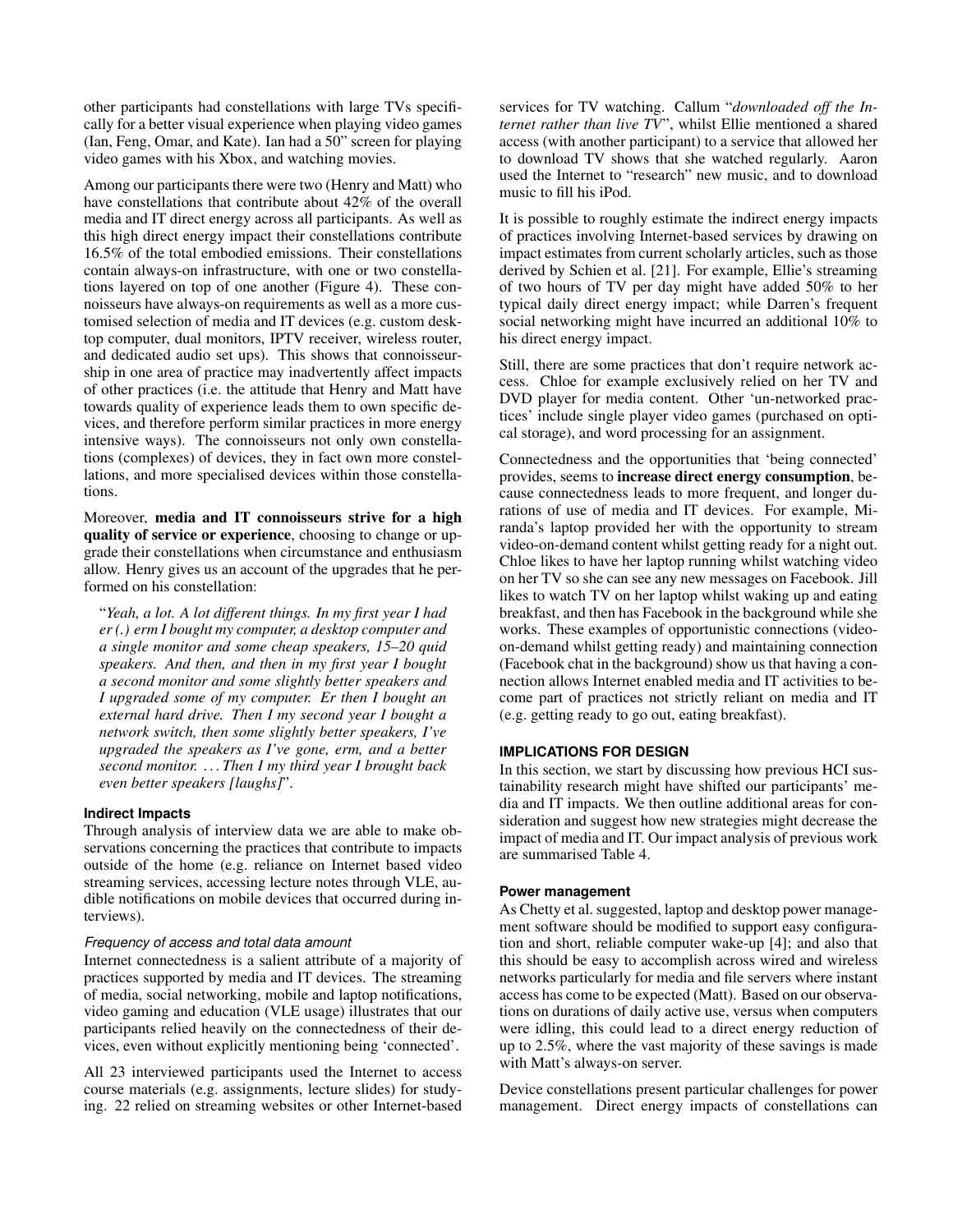other participants had constellations with large TVs specifically for a better visual experience when playing video games (Ian, Feng, Omar, and Kate). Ian had a 50" screen for playing video games with his Xbox, and watching movies.

Among our participants there were two (Henry and Matt) who have constellations that contribute about 42% of the overall media and IT direct energy across all participants. As well as this high direct energy impact their constellations contribute 16.5% of the total embodied emissions. Their constellations contain always-on infrastructure, with one or two constellations layered on top of one another (Figure [4\)](#page-5-2). These connoisseurs have always-on requirements as well as a more customised selection of media and IT devices (e.g. custom desktop computer, dual monitors, IPTV receiver, wireless router, and dedicated audio set ups). This shows that connoisseurship in one area of practice may inadvertently affect impacts of other practices (i.e. the attitude that Henry and Matt have towards quality of experience leads them to own specific devices, and therefore perform similar practices in more energy intensive ways). The connoisseurs not only own constellations (complexes) of devices, they in fact own more constellations, and more specialised devices within those constellations.

Moreover, media and IT connoisseurs strive for a high quality of service or experience, choosing to change or upgrade their constellations when circumstance and enthusiasm allow. Henry gives us an account of the upgrades that he performed on his constellation:

"*Yeah, a lot. A lot different things. In my first year I had er (.) erm I bought my computer, a desktop computer and a single monitor and some cheap speakers, 15–20 quid speakers. And then, and then in my first year I bought a second monitor and some slightly better speakers and I upgraded some of my computer. Er then I bought an external hard drive. Then I my second year I bought a network switch, then some slightly better speakers, I've upgraded the speakers as I've gone, erm, and a better second monitor. . . . Then I my third year I brought back even better speakers [laughs]*".

#### **Indirect Impacts**

Through analysis of interview data we are able to make observations concerning the practices that contribute to impacts outside of the home (e.g. reliance on Internet based video streaming services, accessing lecture notes through VLE, audible notifications on mobile devices that occurred during interviews).

## *Frequency of access and total data amount*

Internet connectedness is a salient attribute of a majority of practices supported by media and IT devices. The streaming of media, social networking, mobile and laptop notifications, video gaming and education (VLE usage) illustrates that our participants relied heavily on the connectedness of their devices, even without explicitly mentioning being 'connected'.

All 23 interviewed participants used the Internet to access course materials (e.g. assignments, lecture slides) for studying. 22 relied on streaming websites or other Internet-based services for TV watching. Callum "*downloaded off the Internet rather than live TV*", whilst Ellie mentioned a shared access (with another participant) to a service that allowed her to download TV shows that she watched regularly. Aaron used the Internet to "research" new music, and to download music to fill his iPod.

It is possible to roughly estimate the indirect energy impacts of practices involving Internet-based services by drawing on impact estimates from current scholarly articles, such as those derived by Schien et al. [\[21\]](#page-9-21). For example, Ellie's streaming of two hours of TV per day might have added 50% to her typical daily direct energy impact; while Darren's frequent social networking might have incurred an additional 10% to his direct energy impact.

Still, there are some practices that don't require network access. Chloe for example exclusively relied on her TV and DVD player for media content. Other 'un-networked practices' include single player video games (purchased on optical storage), and word processing for an assignment.

Connectedness and the opportunities that 'being connected' provides, seems to increase direct energy consumption, because connectedness leads to more frequent, and longer durations of use of media and IT devices. For example, Miranda's laptop provided her with the opportunity to stream video-on-demand content whilst getting ready for a night out. Chloe likes to have her laptop running whilst watching video on her TV so she can see any new messages on Facebook. Jill likes to watch TV on her laptop whilst waking up and eating breakfast, and then has Facebook in the background while she works. These examples of opportunistic connections (videoon-demand whilst getting ready) and maintaining connection (Facebook chat in the background) show us that having a connection allows Internet enabled media and IT activities to become part of practices not strictly reliant on media and IT (e.g. getting ready to go out, eating breakfast).

# **IMPLICATIONS FOR DESIGN**

In this section, we start by discussing how previous HCI sustainability research might have shifted our participants' media and IT impacts. We then outline additional areas for consideration and suggest how new strategies might decrease the impact of media and IT. Our impact analysis of previous work are summarised Table [4.](#page-7-0)

#### **Power management**

As Chetty et al. suggested, laptop and desktop power management software should be modified to support easy configuration and short, reliable computer wake-up [\[4\]](#page-9-3); and also that this should be easy to accomplish across wired and wireless networks particularly for media and file servers where instant access has come to be expected (Matt). Based on our observations on durations of daily active use, versus when computers were idling, this could lead to a direct energy reduction of up to 2.5%, where the vast majority of these savings is made with Matt's always-on server.

Device constellations present particular challenges for power management. Direct energy impacts of constellations can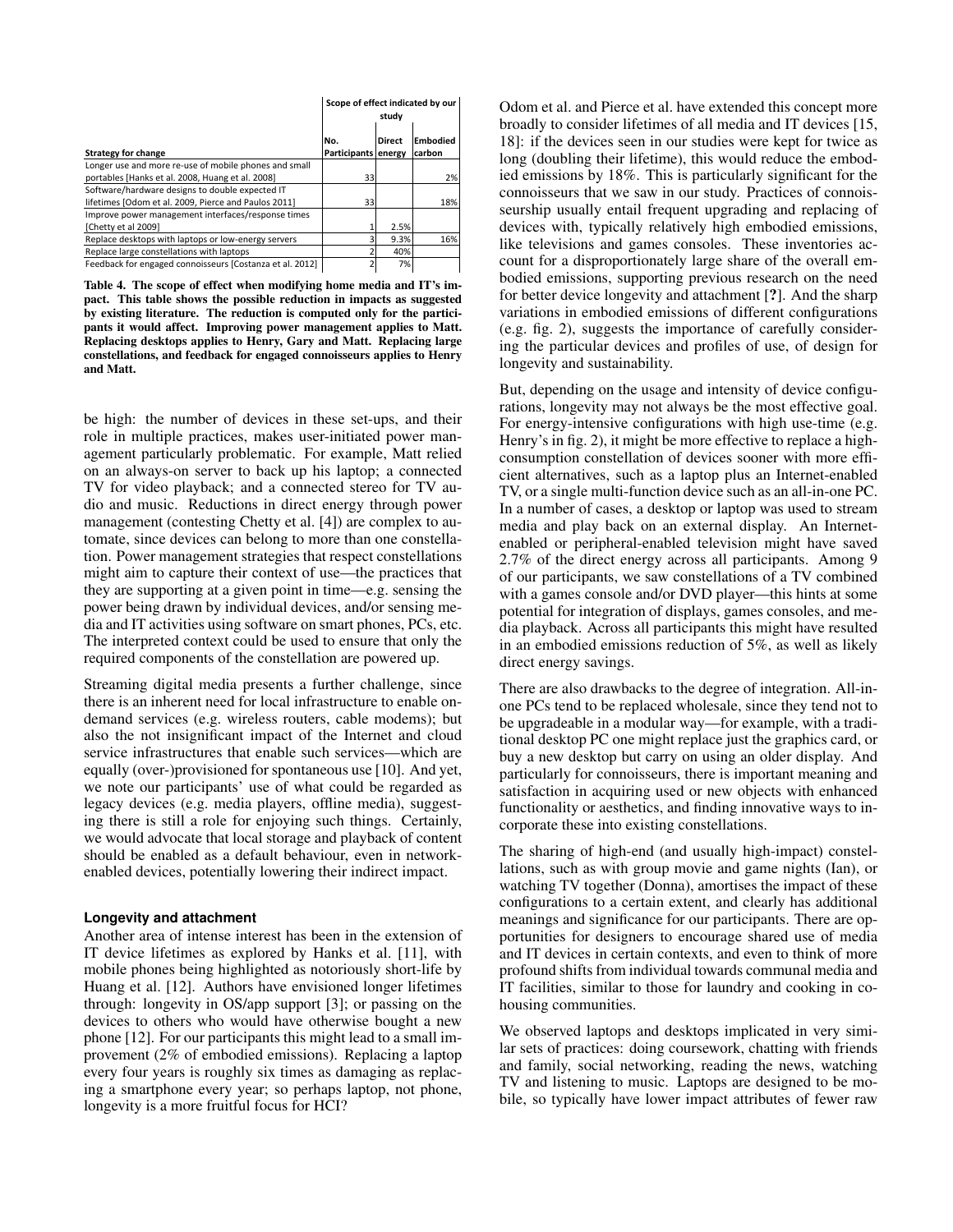|                                                          | Scope of effect indicated by our<br>study |               |                    |
|----------------------------------------------------------|-------------------------------------------|---------------|--------------------|
| <b>Strategy for change</b>                               | lNo.<br>Participants energy               | <b>Direct</b> | Embodied<br>carbon |
| Longer use and more re-use of mobile phones and small    |                                           |               |                    |
| portables [Hanks et al. 2008, Huang et al. 2008]         | 33                                        |               | 2%                 |
| Software/hardware designs to double expected IT          |                                           |               |                    |
| lifetimes [Odom et al. 2009, Pierce and Paulos 2011]     | 33                                        |               | 18%                |
| Improve power management interfaces/response times       |                                           |               |                    |
| [Chetty et al 2009]                                      |                                           | 2.5%          |                    |
| Replace desktops with laptops or low-energy servers      |                                           | 9.3%          | 16%                |
| Replace large constellations with laptops                |                                           | 40%           |                    |
| Feedback for engaged connoisseurs [Costanza et al. 2012] |                                           | 7%            |                    |

<span id="page-7-0"></span>Replacing desktops applies to Henry, Gary and Matt. Replacing large Table 4. The scope of effect when modifying home media and IT's impact. This table shows the possible reduction in impacts as suggested by existing literature. The reduction is computed only for the participants it would affect. Improving power management applies to Matt. constellations, and feedback for engaged connoisseurs applies to Henry and Matt.

be high: the number of devices in these set-ups, and their role in multiple practices, makes user-initiated power management particularly problematic. For example, Matt relied on an always-on server to back up his laptop; a connected TV for video playback; and a connected stereo for TV audio and music. Reductions in direct energy through power management (contesting Chetty et al. [\[4\]](#page-9-3)) are complex to automate, since devices can belong to more than one constellation. Power management strategies that respect constellations might aim to capture their context of use—the practices that they are supporting at a given point in time—e.g. sensing the power being drawn by individual devices, and/or sensing media and IT activities using software on smart phones, PCs, etc. The interpreted context could be used to ensure that only the required components of the constellation are powered up.

Streaming digital media presents a further challenge, since there is an inherent need for local infrastructure to enable ondemand services (e.g. wireless routers, cable modems); but also the not insignificant impact of the Internet and cloud service infrastructures that enable such services—which are equally (over-)provisioned for spontaneous use [\[10\]](#page-9-22). And yet, we note our participants' use of what could be regarded as legacy devices (e.g. media players, offline media), suggesting there is still a role for enjoying such things. Certainly, we would advocate that local storage and playback of content should be enabled as a default behaviour, even in networkenabled devices, potentially lowering their indirect impact.

#### **Longevity and attachment**

Another area of intense interest has been in the extension of IT device lifetimes as explored by Hanks et al. [\[11\]](#page-9-14), with mobile phones being highlighted as notoriously short-life by Huang et al. [\[12\]](#page-9-13). Authors have envisioned longer lifetimes through: longevity in OS/app support [\[3\]](#page-9-11); or passing on the devices to others who would have otherwise bought a new phone [\[12\]](#page-9-13). For our participants this might lead to a small improvement (2% of embodied emissions). Replacing a laptop every four years is roughly six times as damaging as replacing a smartphone every year; so perhaps laptop, not phone, longevity is a more fruitful focus for HCI?

Odom et al. and Pierce et al. have extended this concept more broadly to consider lifetimes of all media and IT devices [\[15,](#page-9-4) [18\]](#page-9-23): if the devices seen in our studies were kept for twice as long (doubling their lifetime), this would reduce the embodied emissions by 18%. This is particularly significant for the connoisseurs that we saw in our study. Practices of connoisseurship usually entail frequent upgrading and replacing of devices with, typically relatively high embodied emissions, like televisions and games consoles. These inventories account for a disproportionately large share of the overall embodied emissions, supporting previous research on the need for better device longevity and attachment [?]. And the sharp variations in embodied emissions of different configurations (e.g. fig. [2\)](#page-5-0), suggests the importance of carefully considering the particular devices and profiles of use, of design for longevity and sustainability.

rations, longevity may not always be the most effective goal. But, depending on the usage and intensity of device configu-For energy-intensive configurations with high use-time (e.g. Henry's in fig. [2\)](#page-5-0), it might be more effective to replace a highconsumption constellation of devices sooner with more efficient alternatives, such as a laptop plus an Internet-enabled TV, or a single multi-function device such as an all-in-one PC. In a number of cases, a desktop or laptop was used to stream media and play back on an external display. An Internetenabled or peripheral-enabled television might have saved 2.7% of the direct energy across all participants. Among 9 of our participants, we saw constellations of a TV combined with a games console and/or DVD player—this hints at some potential for integration of displays, games consoles, and media playback. Across all participants this might have resulted in an embodied emissions reduction of 5%, as well as likely direct energy savings.

There are also drawbacks to the degree of integration. All-inone PCs tend to be replaced wholesale, since they tend not to be upgradeable in a modular way—for example, with a traditional desktop PC one might replace just the graphics card, or buy a new desktop but carry on using an older display. And particularly for connoisseurs, there is important meaning and satisfaction in acquiring used or new objects with enhanced functionality or aesthetics, and finding innovative ways to incorporate these into existing constellations.

The sharing of high-end (and usually high-impact) constellations, such as with group movie and game nights (Ian), or watching TV together (Donna), amortises the impact of these configurations to a certain extent, and clearly has additional meanings and significance for our participants. There are opportunities for designers to encourage shared use of media and IT devices in certain contexts, and even to think of more profound shifts from individual towards communal media and IT facilities, similar to those for laundry and cooking in cohousing communities.

We observed laptops and desktops implicated in very similar sets of practices: doing coursework, chatting with friends and family, social networking, reading the news, watching TV and listening to music. Laptops are designed to be mobile, so typically have lower impact attributes of fewer raw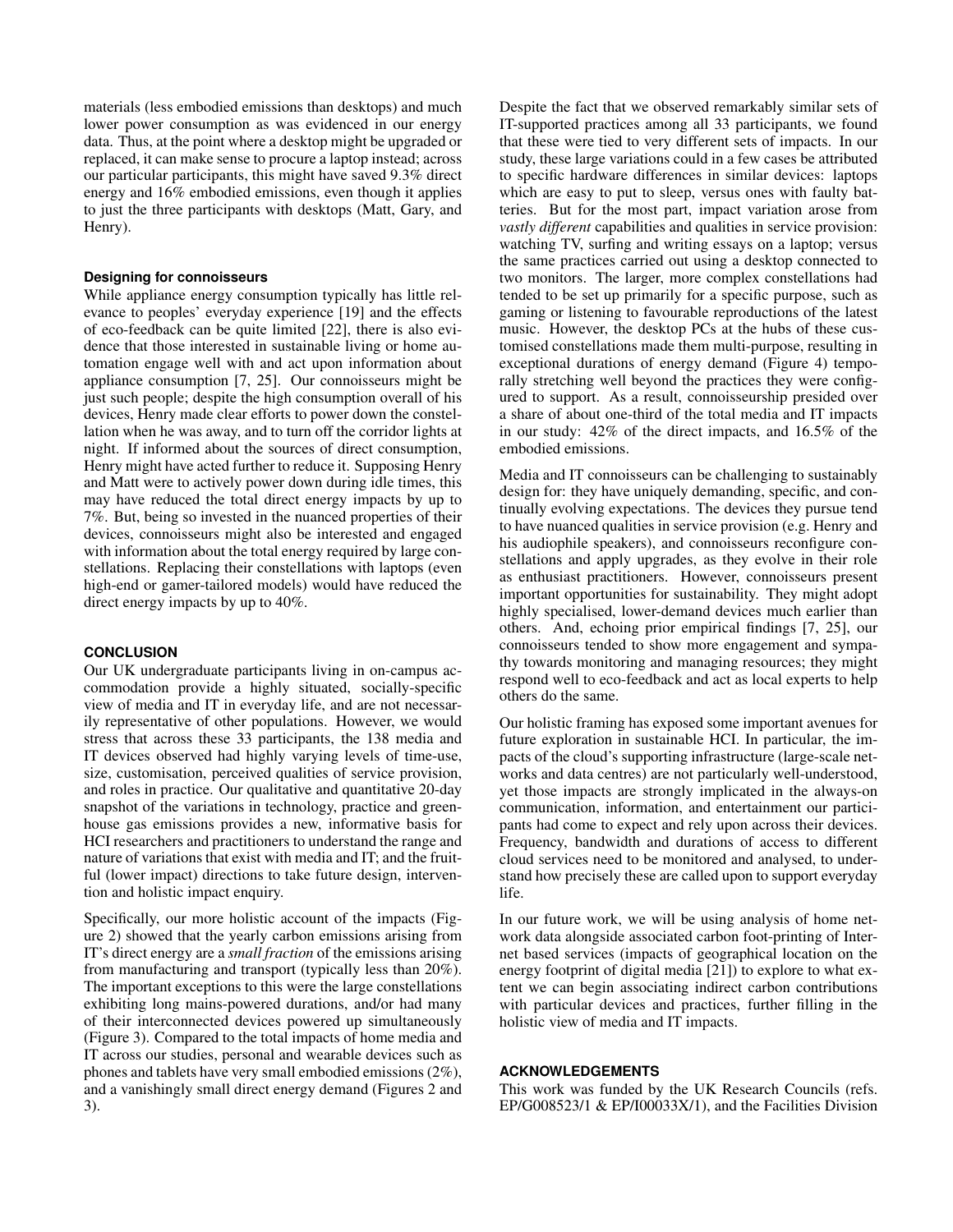materials (less embodied emissions than desktops) and much lower power consumption as was evidenced in our energy data. Thus, at the point where a desktop might be upgraded or replaced, it can make sense to procure a laptop instead; across our particular participants, this might have saved 9.3% direct energy and 16% embodied emissions, even though it applies to just the three participants with desktops (Matt, Gary, and Henry).

## **Designing for connoisseurs**

While appliance energy consumption typically has little relevance to peoples' everyday experience [\[19\]](#page-9-10) and the effects of eco-feedback can be quite limited [\[22\]](#page-9-9), there is also evidence that those interested in sustainable living or home automation engage well with and act upon information about appliance consumption [\[7,](#page-9-5) [25\]](#page-9-24). Our connoisseurs might be just such people; despite the high consumption overall of his devices, Henry made clear efforts to power down the constellation when he was away, and to turn off the corridor lights at night. If informed about the sources of direct consumption, Henry might have acted further to reduce it. Supposing Henry and Matt were to actively power down during idle times, this may have reduced the total direct energy impacts by up to 7%. But, being so invested in the nuanced properties of their devices, connoisseurs might also be interested and engaged with information about the total energy required by large constellations. Replacing their constellations with laptops (even high-end or gamer-tailored models) would have reduced the direct energy impacts by up to 40%.

## **CONCLUSION**

Our UK undergraduate participants living in on-campus accommodation provide a highly situated, socially-specific view of media and IT in everyday life, and are not necessarily representative of other populations. However, we would stress that across these 33 participants, the 138 media and IT devices observed had highly varying levels of time-use, size, customisation, perceived qualities of service provision, and roles in practice. Our qualitative and quantitative 20-day snapshot of the variations in technology, practice and greenhouse gas emissions provides a new, informative basis for HCI researchers and practitioners to understand the range and nature of variations that exist with media and IT; and the fruitful (lower impact) directions to take future design, intervention and holistic impact enquiry.

Specifically, our more holistic account of the impacts (Figure [2\)](#page-5-0) showed that the yearly carbon emissions arising from IT's direct energy are a *small fraction* of the emissions arising from manufacturing and transport (typically less than 20%). The important exceptions to this were the large constellations exhibiting long mains-powered durations, and/or had many of their interconnected devices powered up simultaneously (Figure [3\)](#page-5-1). Compared to the total impacts of home media and IT across our studies, personal and wearable devices such as phones and tablets have very small embodied emissions (2%), and a vanishingly small direct energy demand (Figures [2](#page-5-0) and [3\)](#page-5-1).

Despite the fact that we observed remarkably similar sets of IT-supported practices among all 33 participants, we found that these were tied to very different sets of impacts. In our study, these large variations could in a few cases be attributed to specific hardware differences in similar devices: laptops which are easy to put to sleep, versus ones with faulty batteries. But for the most part, impact variation arose from *vastly different* capabilities and qualities in service provision: watching TV, surfing and writing essays on a laptop; versus the same practices carried out using a desktop connected to two monitors. The larger, more complex constellations had tended to be set up primarily for a specific purpose, such as gaming or listening to favourable reproductions of the latest music. However, the desktop PCs at the hubs of these customised constellations made them multi-purpose, resulting in exceptional durations of energy demand (Figure [4\)](#page-5-2) temporally stretching well beyond the practices they were configured to support. As a result, connoisseurship presided over a share of about one-third of the total media and IT impacts in our study: 42% of the direct impacts, and 16.5% of the embodied emissions.

Media and IT connoisseurs can be challenging to sustainably design for: they have uniquely demanding, specific, and continually evolving expectations. The devices they pursue tend to have nuanced qualities in service provision (e.g. Henry and his audiophile speakers), and connoisseurs reconfigure constellations and apply upgrades, as they evolve in their role as enthusiast practitioners. However, connoisseurs present important opportunities for sustainability. They might adopt highly specialised, lower-demand devices much earlier than others. And, echoing prior empirical findings [\[7,](#page-9-5) [25\]](#page-9-24), our connoisseurs tended to show more engagement and sympathy towards monitoring and managing resources; they might respond well to eco-feedback and act as local experts to help others do the same.

Our holistic framing has exposed some important avenues for future exploration in sustainable HCI. In particular, the impacts of the cloud's supporting infrastructure (large-scale networks and data centres) are not particularly well-understood, yet those impacts are strongly implicated in the always-on communication, information, and entertainment our participants had come to expect and rely upon across their devices. Frequency, bandwidth and durations of access to different cloud services need to be monitored and analysed, to understand how precisely these are called upon to support everyday life.

In our future work, we will be using analysis of home network data alongside associated carbon foot-printing of Internet based services (impacts of geographical location on the energy footprint of digital media [\[21\]](#page-9-21)) to explore to what extent we can begin associating indirect carbon contributions with particular devices and practices, further filling in the holistic view of media and IT impacts.

## **ACKNOWLEDGEMENTS**

This work was funded by the UK Research Councils (refs. EP/G008523/1 & EP/I00033X/1), and the Facilities Division